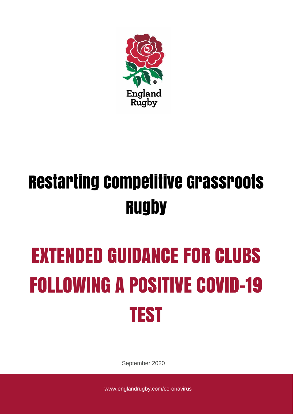

## Restarting Competitive Grassroots **Rugby**

# EXTENDED GUIDANCE FOR CLUBS FOLLOWING A POSITIVE COVID-19 TEST

September 2020

www.englandrugby.com/coronavirus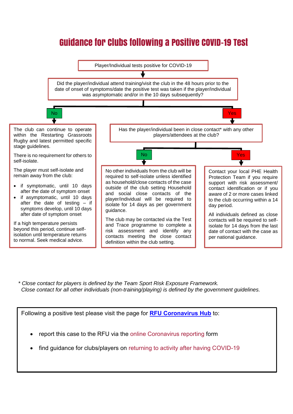## Guidance for Clubs following a Positive COVID-19 Test



*\* Close contact for players is defined by the Team Sport Risk Exposure Framework. Close contact for all other individuals (non-training/playing) is defined by the government guidelines.*

Following a positive test please visit the page for **[RFU Coronavirus Hub](https://www.englandrugby.com/participation/running-your-club/coronavirus)** to:

- report this case to the RFU via the online Coronavirus reporting form
- find guidance for clubs/players on returning to activity after having COVID-19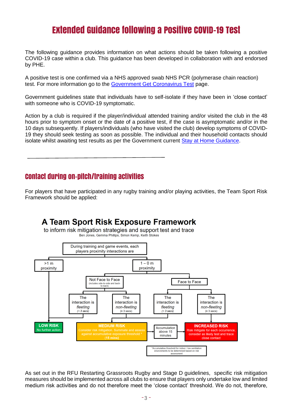### Extended Guidance following a Positive COVID-19 Test

The following guidance provides information on what actions should be taken following a positive COVID-19 case within a club. This guidance has been developed in collaboration with and endorsed by PHE.

A positive test is one confirmed via a NHS approved swab NHS PCR (polymerase chain reaction) test. For more information go to the [Government Get Coronavirus Test](http://www.gov.uk/get-coronavirus-test) page.

Government guidelines state that individuals have to self-isolate if they have been in 'close contact' with someone who is COVID-19 symptomatic.

Action by a club is required if the player/individual attended training and/or visited the club in the 48 hours prior to symptom onset or the date of a positive test, if the case is asymptomatic and/or in the 10 days subsequently. If players/individuals (who have visited the club) develop symptoms of COVID-19 they should seek testing as soon as possible. The individual and their household contacts should isolate whilst awaiting test results as per the Government current [Stay at Home Guidance.](https://www.gov.uk/government/publications/covid-19-stay-at-home-guidance/stay-at-home-guidance-for-households-with-possible-coronavirus-covid-19-infection)

#### Contact during on-pitch/training activities

For players that have participated in any rugby training and/or playing activities, the Team Sport Risk Framework should be applied:



As set out in the RFU Restarting Grassroots Rugby and Stage D guidelines, specific risk mitigation measures should be implemented across all clubs to ensure that players only undertake low and limited medium risk activities and do not therefore meet the 'close contact' threshold. We do not, therefore,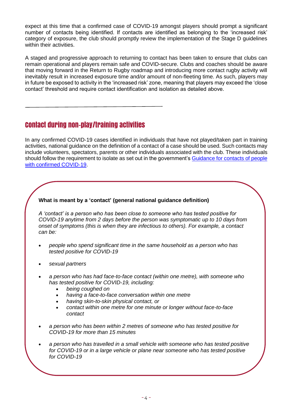expect at this time that a confirmed case of COVID-19 amongst players should prompt a significant number of contacts being identified. If contacts are identified as belonging to the 'increased risk' category of exposure, the club should promptly review the implementation of the Stage D guidelines within their activities.

A staged and progressive approach to returning to contact has been taken to ensure that clubs can remain operational and players remain safe and COVID-secure. Clubs and coaches should be aware that moving forward in the Return to Rugby roadmap and introducing more contact rugby activity will inevitably result in increased exposure time and/or amount of non-fleeting time. As such, players may in future be exposed to activity in the 'increased risk' zone, meaning that players may exceed the 'close contact' threshold and require contact identification and isolation as detailed above.

#### Contact during non-play/training activities

In any confirmed COVID-19 cases identified in individuals that have not played/taken part in training activities, national guidance on the definition of a contact of a case should be used. Such contacts may include volunteers, spectators, parents or other individuals associated with the club. These individuals should follow the requirement to isolate as set out in the government's [Guidance for contacts of people](https://www.gov.uk/government/publications/guidance-for-contacts-of-people-with-possible-or-confirmed-coronavirus-covid-19-infection-who-do-not-live-with-the-person/guidance-for-contacts-of-people-with-possible-or-confirmed-coronavirus-covid-19-infection-who-do-not-live-with-the-person)  [with confirmed COVID-19.](https://www.gov.uk/government/publications/guidance-for-contacts-of-people-with-possible-or-confirmed-coronavirus-covid-19-infection-who-do-not-live-with-the-person/guidance-for-contacts-of-people-with-possible-or-confirmed-coronavirus-covid-19-infection-who-do-not-live-with-the-person)

#### **What is meant by a 'contact' (general national guidance definition)**

*A 'contact' is a person who has been close to someone who has tested positive for COVID-19 anytime from 2 days before the person was symptomatic up to 10 days from onset of symptoms (this is when they are infectious to others). For example, a contact can be:*

- *people who spend significant time in the same household as a person who has tested positive for COVID-19*
- *sexual partners*
- *a person who has had face-to-face contact (within one metre), with someone who has tested positive for COVID-19, including:* 
	- *being coughed on*
	- *having a face-to-face conversation within one metre*
	- *having skin-to-skin physical contact, or*
	- *contact within one metre for one minute or longer without face-to-face contact*
- *a person who has been within 2 metres of someone who has tested positive for COVID-19 for more than 15 minutes*
- *a person who has travelled in a small vehicle with someone who has tested positive for COVID-19 or in a large vehicle or plane near someone who has tested positive for COVID-19*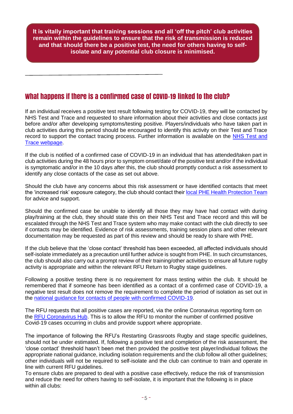**It is vitally important that training sessions and all 'off the pitch' club activities remain within the guidelines to ensure that the risk of transmission is reduced and that should there be a positive test, the need for others having to selfisolate and any potential club closure is minimised.**

#### What happens if there is a confirmed case of COVID-19 linked to the club?

If an individual receives a positive test result following testing for COVID-19, they will be contacted by NHS Test and Trace and requested to share information about their activities and close contacts just before and/or after developing symptoms/testing positive. Players/individuals who have taken part in club activities during this period should be encouraged to identify this activity on their Test and Trace record to support the contact tracing process. Further information is available on the NHS Test and [Trace webpage.](https://www.gov.uk/guidance/nhs-test-and-trace-how-it-works)

If the club is notified of a confirmed case of COVID-19 in an individual that has attended/taken part in club activities during the 48 hours prior to symptom onset/date of the positive test and/or if the individual is symptomatic and/or in the 10 days after this, the club should promptly conduct a risk assessment to identify any close contacts of the case as set out above.

Should the club have any concerns about this risk assessment or have identified contacts that meet the 'increased risk' exposure category, the club should contact their [local PHE Health Protection Team](https://www.gov.uk/health-protection-team) for advice and support.

Should the confirmed case be unable to identify all those they may have had contact with during play/training at the club, they should state this on their NHS Test and Trace record and this will be escalated through the NHS Test and Trace system who may make contact with the club directly to see if contacts may be identified. Evidence of risk assessments, training session plans and other relevant documentation may be requested as part of this review and should be ready to share with PHE.

If the club believe that the 'close contact' threshold has been exceeded, all affected individuals should self-isolate immediately as a precaution until further advice is sought from PHE. In such circumstances, the club should also carry out a prompt review of their training/other activities to ensure all future rugby activity is appropriate and within the relevant RFU Return to Rugby stage guidelines.

Following a positive testing there is no requirement for mass testing within the club. It should be remembered that if someone has been identified as a contact of a confirmed case of COVID-19, a negative test result does not remove the requirement to complete the period of isolation as set out in the [national guidance for contacts of people with confirmed COVID-19.](https://www.gov.uk/government/publications/guidance-for-contacts-of-people-with-possible-or-confirmed-coronavirus-covid-19-infection-who-do-not-live-with-the-person/guidance-for-contacts-of-people-with-possible-or-confirmed-coronavirus-covid-19-infection-who-do-not-live-with-the-person)

The RFU requests that all positive cases are reported, via the online Coronavirus reporting form on the [RFU Coronavirus Hub.](https://www.englandrugby.com/participation/running-your-club/coronavirus) This is to allow the RFU to monitor the number of confirmed positive Covid-19 cases occurring in clubs and provide support where appropriate.

The importance of following the RFU's Restarting Grassroots Rugby and stage specific guidelines, should not be under estimated. If, following a positive test and completion of the risk assessment, the 'close contact' threshold hasn't been met then provided the positive test player/individual follows the appropriate national guidance, including isolation requirements and the club follow all other guidelines; other individuals will not be required to self-isolate and the club can continue to train and operate in line with current RFU guidelines.

To ensure clubs are prepared to deal with a positive case effectively, reduce the risk of transmission and reduce the need for others having to self-isolate, it is important that the following is in place within all clubs: